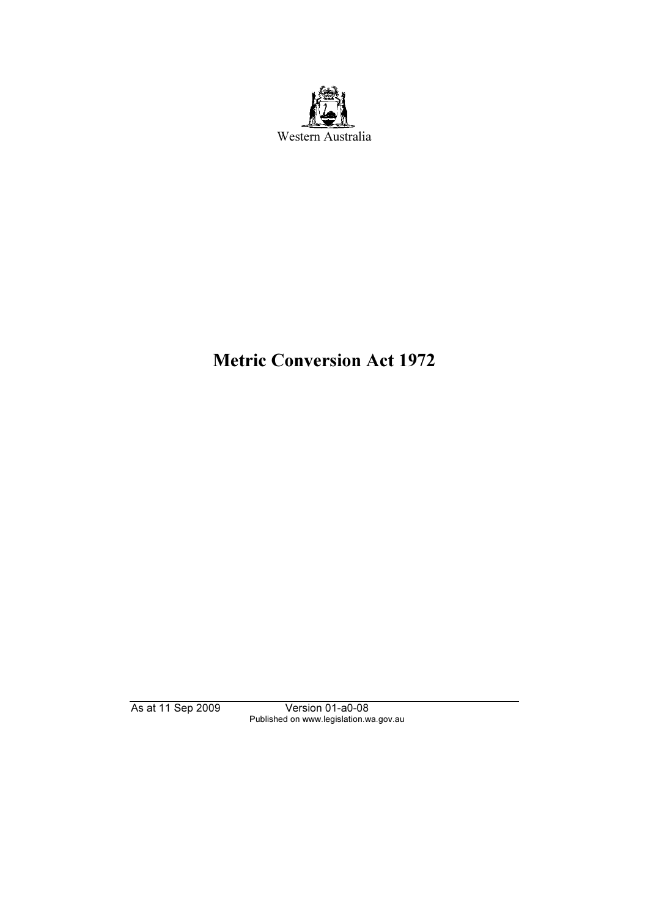

# Metric Conversion Act 1972

As at 11 Sep 2009 Version 01-a0-08 Published on www.legislation.wa.gov.au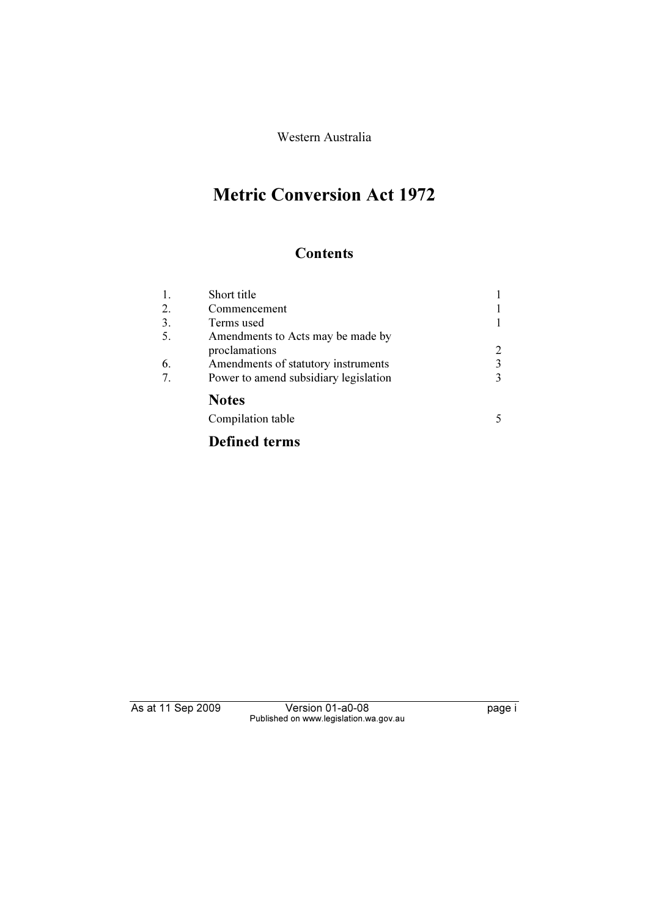Western Australia

# Metric Conversion Act 1972

## **Contents**

| 1. | Short title                           |   |
|----|---------------------------------------|---|
| 2. | Commencement                          |   |
| 3. | Terms used                            |   |
| 5. | Amendments to Acts may be made by     |   |
|    | proclamations                         | 2 |
| 6. | Amendments of statutory instruments   | 3 |
| 7. | Power to amend subsidiary legislation | 3 |
|    | <b>Notes</b>                          |   |
|    | Compilation table                     |   |
|    | <b>Defined terms</b>                  |   |

As at 11 Sep 2009 Version 01-a0-08 page i Published on www.legislation.wa.gov.au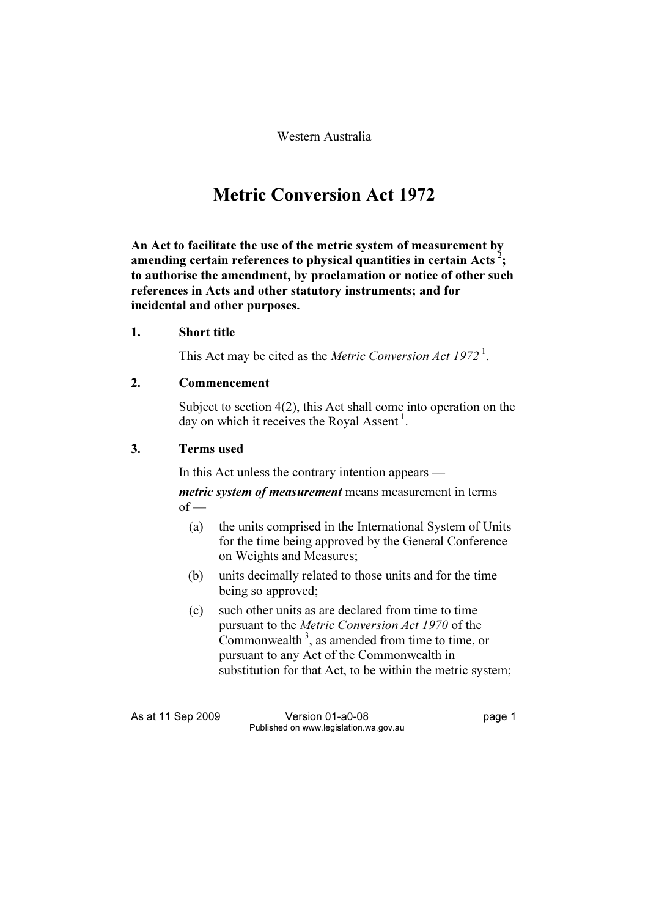Western Australia

## Metric Conversion Act 1972

An Act to facilitate the use of the metric system of measurement by amending certain references to physical quantities in certain Acts<sup>2</sup>; to authorise the amendment, by proclamation or notice of other such references in Acts and other statutory instruments; and for incidental and other purposes.

### 1. Short title

This Act may be cited as the *Metric Conversion Act*  $1972<sup>1</sup>$ .

### 2. Commencement

 Subject to section 4(2), this Act shall come into operation on the day on which it receives the Royal Assent<sup>1</sup>.

### 3. Terms used

In this Act unless the contrary intention appears —

metric system of measurement means measurement in terms  $of -$ 

- (a) the units comprised in the International System of Units for the time being approved by the General Conference on Weights and Measures;
- (b) units decimally related to those units and for the time being so approved;
- (c) such other units as are declared from time to time pursuant to the Metric Conversion Act 1970 of the Commonwealth<sup>3</sup>, as amended from time to time, or pursuant to any Act of the Commonwealth in substitution for that Act, to be within the metric system;

As at 11 Sep 2009 Version 01-a0-08 page 1 Published on www.legislation.wa.gov.au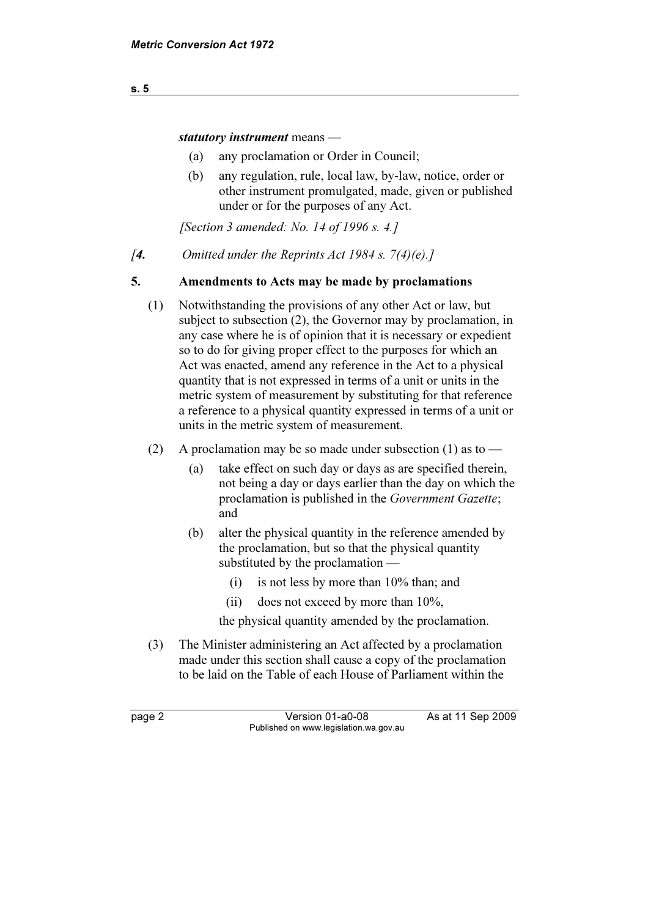statutory instrument means —

- (a) any proclamation or Order in Council;
- (b) any regulation, rule, local law, by-law, notice, order or other instrument promulgated, made, given or published under or for the purposes of any Act.

[Section 3 amended: No. 14 of 1996 s. 4.]

[4. Omitted under the Reprints Act 1984 s.  $7(4)(e)$ .]

### 5. Amendments to Acts may be made by proclamations

- (1) Notwithstanding the provisions of any other Act or law, but subject to subsection (2), the Governor may by proclamation, in any case where he is of opinion that it is necessary or expedient so to do for giving proper effect to the purposes for which an Act was enacted, amend any reference in the Act to a physical quantity that is not expressed in terms of a unit or units in the metric system of measurement by substituting for that reference a reference to a physical quantity expressed in terms of a unit or units in the metric system of measurement.
- (2) A proclamation may be so made under subsection (1) as to
	- (a) take effect on such day or days as are specified therein, not being a day or days earlier than the day on which the proclamation is published in the Government Gazette; and
	- (b) alter the physical quantity in the reference amended by the proclamation, but so that the physical quantity substituted by the proclamation —
		- (i) is not less by more than 10% than; and
		- (ii) does not exceed by more than 10%,

the physical quantity amended by the proclamation.

 (3) The Minister administering an Act affected by a proclamation made under this section shall cause a copy of the proclamation to be laid on the Table of each House of Parliament within the

page 2 Version 01-a0-08 As at 11 Sep 2009 Published on www.legislation.wa.gov.au

s. 5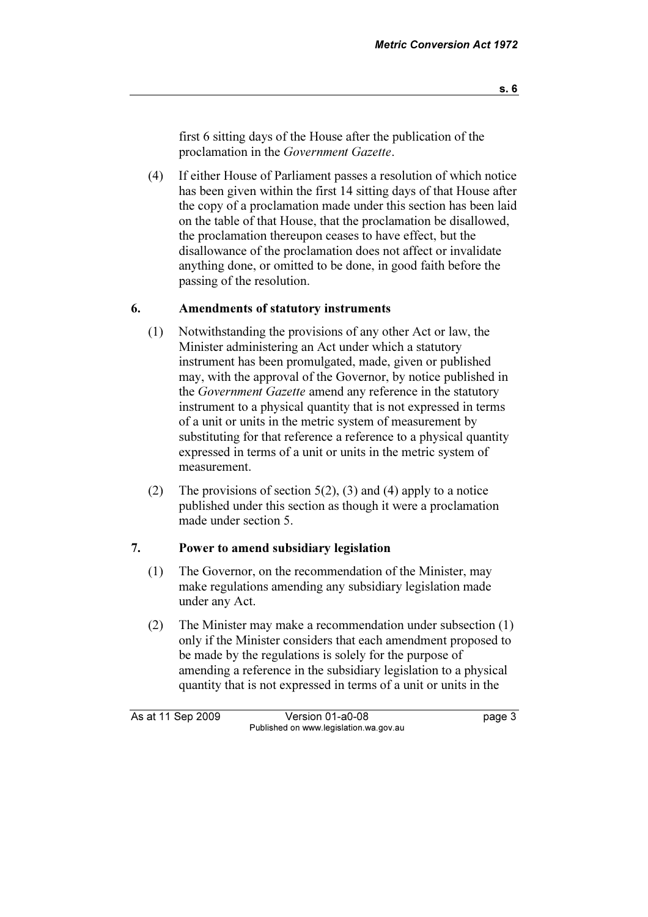first 6 sitting days of the House after the publication of the proclamation in the Government Gazette.

 (4) If either House of Parliament passes a resolution of which notice has been given within the first 14 sitting days of that House after the copy of a proclamation made under this section has been laid on the table of that House, that the proclamation be disallowed, the proclamation thereupon ceases to have effect, but the disallowance of the proclamation does not affect or invalidate anything done, or omitted to be done, in good faith before the passing of the resolution.

### 6. Amendments of statutory instruments

- (1) Notwithstanding the provisions of any other Act or law, the Minister administering an Act under which a statutory instrument has been promulgated, made, given or published may, with the approval of the Governor, by notice published in the Government Gazette amend any reference in the statutory instrument to a physical quantity that is not expressed in terms of a unit or units in the metric system of measurement by substituting for that reference a reference to a physical quantity expressed in terms of a unit or units in the metric system of measurement.
- (2) The provisions of section 5(2), (3) and (4) apply to a notice published under this section as though it were a proclamation made under section 5.

#### 7. Power to amend subsidiary legislation

- (1) The Governor, on the recommendation of the Minister, may make regulations amending any subsidiary legislation made under any Act.
- (2) The Minister may make a recommendation under subsection (1) only if the Minister considers that each amendment proposed to be made by the regulations is solely for the purpose of amending a reference in the subsidiary legislation to a physical quantity that is not expressed in terms of a unit or units in the

As at 11 Sep 2009 Version 01-a0-08 page 3 Published on www.legislation.wa.gov.au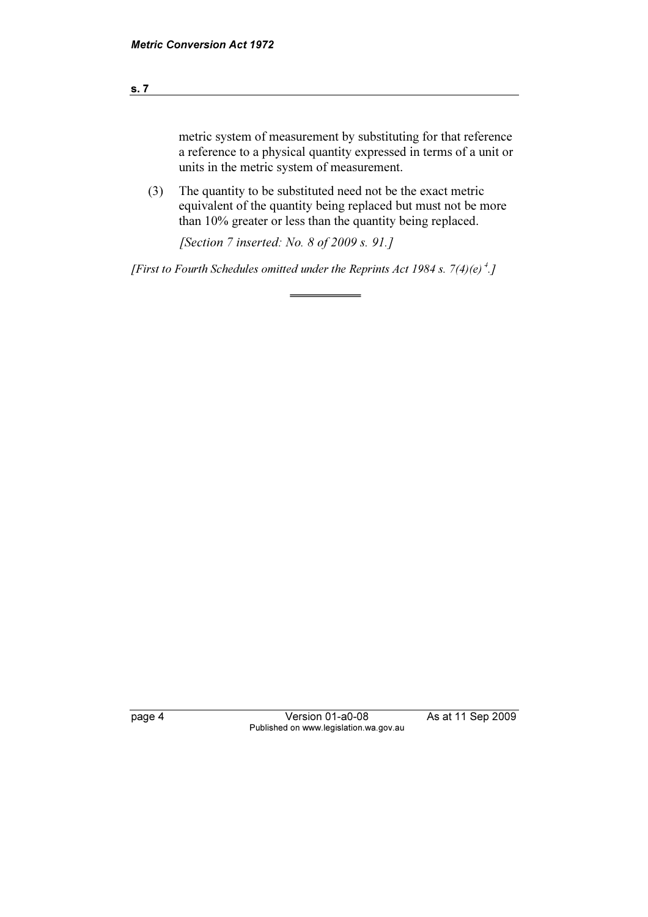#### s. 7

metric system of measurement by substituting for that reference a reference to a physical quantity expressed in terms of a unit or units in the metric system of measurement.

 (3) The quantity to be substituted need not be the exact metric equivalent of the quantity being replaced but must not be more than 10% greater or less than the quantity being replaced.

[Section 7 inserted: No. 8 of 2009 s. 91.]

 $\overline{a}$ 

[First to Fourth Schedules omitted under the Reprints Act 1984 s. 7(4)(e)<sup>4</sup>.]

page 4 Version 01-a0-08 As at 11 Sep 2009 Published on www.legislation.wa.gov.au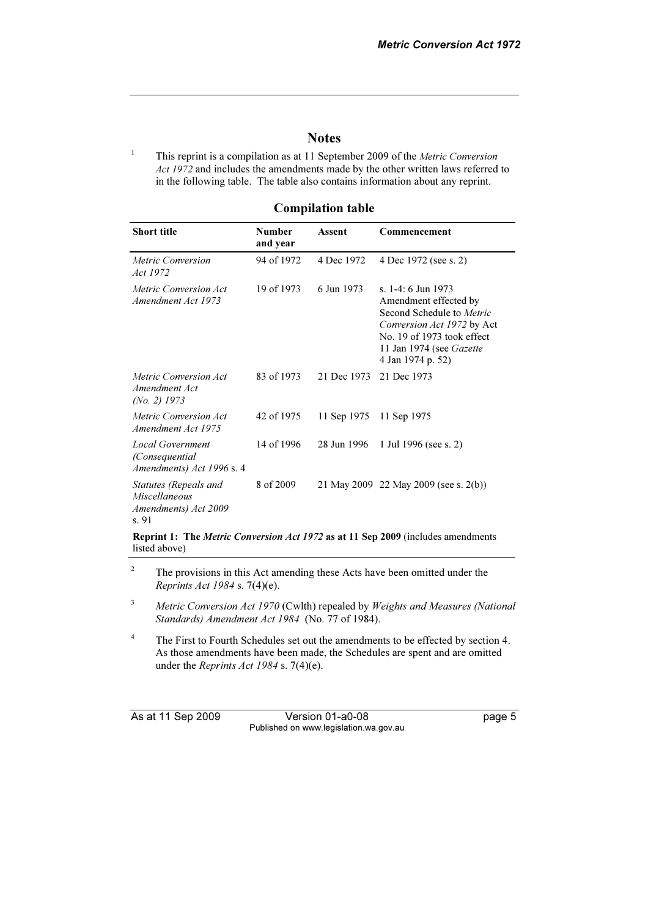#### **Notes**

 This reprint is a compilation as at 11 September 2009 of the Metric Conversion Act 1972 and includes the amendments made by the other written laws referred to in the following table. The table also contains information about any reprint.

#### Compilation table

| <b>Short title</b>                                                                                       | <b>Number</b><br>and year | Assent      | Commencement                                                                                                                                                                          |  |  |
|----------------------------------------------------------------------------------------------------------|---------------------------|-------------|---------------------------------------------------------------------------------------------------------------------------------------------------------------------------------------|--|--|
| Metric Conversion<br>Act 1972                                                                            | 94 of 1972                | 4 Dec 1972  | 4 Dec 1972 (see s. 2)                                                                                                                                                                 |  |  |
| Metric Conversion Act<br>Amendment Act 1973                                                              | 19 of 1973                | 6 Jun 1973  | s. 1-4: 6 Jun 1973<br>Amendment effected by<br>Second Schedule to Metric<br>Conversion Act 1972 by Act<br>No. 19 of 1973 took effect<br>11 Jan 1974 (see Gazette<br>4 Jan 1974 p. 52) |  |  |
| Metric Conversion Act<br>Amendment Act<br>(No. 2) $1973$                                                 | 83 of 1973                | 21 Dec 1973 | 21 Dec 1973                                                                                                                                                                           |  |  |
| Metric Conversion Act<br>Amendment Act 1975                                                              | 42 of 1975                | 11 Sep 1975 | 11 Sep 1975                                                                                                                                                                           |  |  |
| <b>Local Government</b><br>(Consequential<br>Amendments) Act 1996 s. 4                                   | 14 of 1996                | 28 Jun 1996 | 1 Jul 1996 (see s. 2)                                                                                                                                                                 |  |  |
| Statutes (Repeals and<br>Miscellaneous<br>Amendments) Act 2009<br>s. 91                                  | 8 of 2009                 |             | 21 May 2009 22 May 2009 (see s. 2(b))                                                                                                                                                 |  |  |
| <b>Reprint 1: The Metric Conversion Act 1972 as at 11 Sep 2009</b> (includes amendments<br>listed above) |                           |             |                                                                                                                                                                                       |  |  |

2 The provisions in this Act amending these Acts have been omitted under the Reprints Act 1984 s. 7(4)(e).

<sup>3</sup> Metric Conversion Act 1970 (Cwlth) repealed by Weights and Measures (National Standards) Amendment Act 1984 (No. 77 of 1984).

4 The First to Fourth Schedules set out the amendments to be effected by section 4. As those amendments have been made, the Schedules are spent and are omitted under the *Reprints Act 1984* s. 7(4)(e).

1

As at 11 Sep 2009 Version 01-a0-08 page 5 Published on www.legislation.wa.gov.au